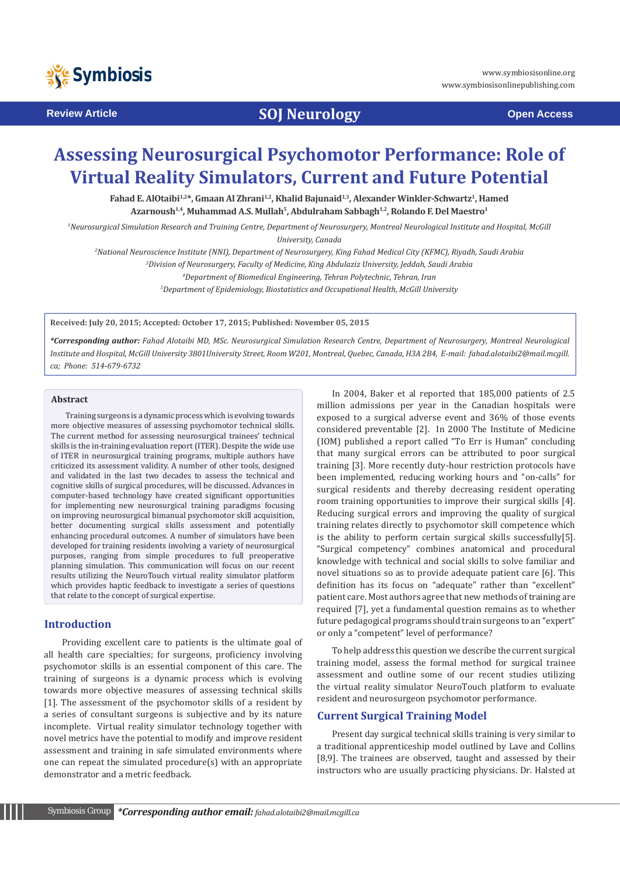

# **Review Article <b>SOJ Neurology Open Access**

# **Assessing Neurosurgical Psychomotor Performance: Role of Virtual Reality Simulators, Current and Future Potential**

Fahad E. AlOtaibi<sup>1,2\*</sup>, Gmaan Al Zhrani<sup>1,2</sup>, Khalid Bajunaid<sup>1,3</sup>, Alexander Winkler-Schwartz<sup>1</sup>, Hamed Azarnoush<sup>1,4</sup>, Muhammad A.S. Mullah<sup>5</sup>, Abdulraham Sabbagh<sup>1,2</sup>, Rolando F. Del Maestro<sup>1</sup>

*1 Neurosurgical Simulation Research and Training Centre, Department of Neurosurgery, Montreal Neurological Institute and Hospital, McGill University, Canada*

*2 National Neuroscience Institute (NNI), Department of Neurosurgery, King Fahad Medical City (KFMC), Riyadh, Saudi Arabia*

*3 Division of Neurosurgery, Faculty of Medicine, King Abdulaziz University, Jeddah, Saudi Arabia*

*4 Department of Biomedical Engineering, Tehran Polytechnic, Tehran, Iran*

*5 Department of Epidemiology, Biostatistics and Occupational Health, McGill University*

**Received: July 20, 2015; Accepted: October 17, 2015; Published: November 05, 2015**

*\*Corresponding author: Fahad Alotaibi MD, MSc. Neurosurgical Simulation Research Centre, Department of Neurosurgery, Montreal Neurological Institute and Hospital, McGill University 3801University Street, Room W201, Montreal, Quebec, Canada, H3A 2B4, E-mail: fahad.alotaibi2@mail.mcgill. ca; Phone: 514-679-6732*

#### **Abstract**

Training surgeons is a dynamic process which is evolving towards more objective measures of assessing psychomotor technical skills. The current method for assessing neurosurgical trainees' technical skills is the in-training evaluation report (ITER). Despite the wide use of ITER in neurosurgical training programs, multiple authors have criticized its assessment validity. A number of other tools, designed and validated in the last two decades to assess the technical and cognitive skills of surgical procedures, will be discussed. Advances in computer-based technology have created significant opportunities for implementing new neurosurgical training paradigms focusing on improving neurosurgical bimanual psychomotor skill acquisition, better documenting surgical skills assessment and potentially enhancing procedural outcomes. A number of simulators have been developed for training residents involving a variety of neurosurgical purposes, ranging from simple procedures to full preoperative planning simulation. This communication will focus on our recent results utilizing the NeuroTouch virtual reality simulator platform which provides haptic feedback to investigate a series of questions that relate to the concept of surgical expertise.

#### **Introduction**

 Providing excellent care to patients is the ultimate goal of all health care specialties; for surgeons, proficiency involving psychomotor skills is an essential component of this care. The training of surgeons is a dynamic process which is evolving towards more objective measures of assessing technical skills [1]. The assessment of the psychomotor skills of a resident by a series of consultant surgeons is subjective and by its nature incomplete. Virtual reality simulator technology together with novel metrics have the potential to modify and improve resident assessment and training in safe simulated environments where one can repeat the simulated procedure(s) with an appropriate demonstrator and a metric feedback.

In 2004, Baker et al reported that 185,000 patients of 2.5 million admissions per year in the Canadian hospitals were exposed to a surgical adverse event and 36% of those events considered preventable [2]. In 2000 The Institute of Medicine (IOM) published a report called "To Err is Human" concluding that many surgical errors can be attributed to poor surgical training [3]. More recently duty-hour restriction protocols have been implemented, reducing working hours and "on-calls" for surgical residents and thereby decreasing resident operating room training opportunities to improve their surgical skills [4]. Reducing surgical errors and improving the quality of surgical training relates directly to psychomotor skill competence which is the ability to perform certain surgical skills successfully[5]. "Surgical competency" combines anatomical and procedural knowledge with technical and social skills to solve familiar and novel situations so as to provide adequate patient care [6]. This definition has its focus on "adequate" rather than "excellent" patient care. Most authors agree that new methods of training are required [7], yet a fundamental question remains as to whether future pedagogical programs should train surgeons to an "expert" or only a "competent" level of performance?

To help address this question we describe the current surgical training model, assess the formal method for surgical trainee assessment and outline some of our recent studies utilizing the virtual reality simulator NeuroTouch platform to evaluate resident and neurosurgeon psychomotor performance.

## **Current Surgical Training Model**

Present day surgical technical skills training is very similar to a traditional apprenticeship model outlined by Lave and Collins [8,9]. The trainees are observed, taught and assessed by their instructors who are usually practicing physicians. Dr. Halsted at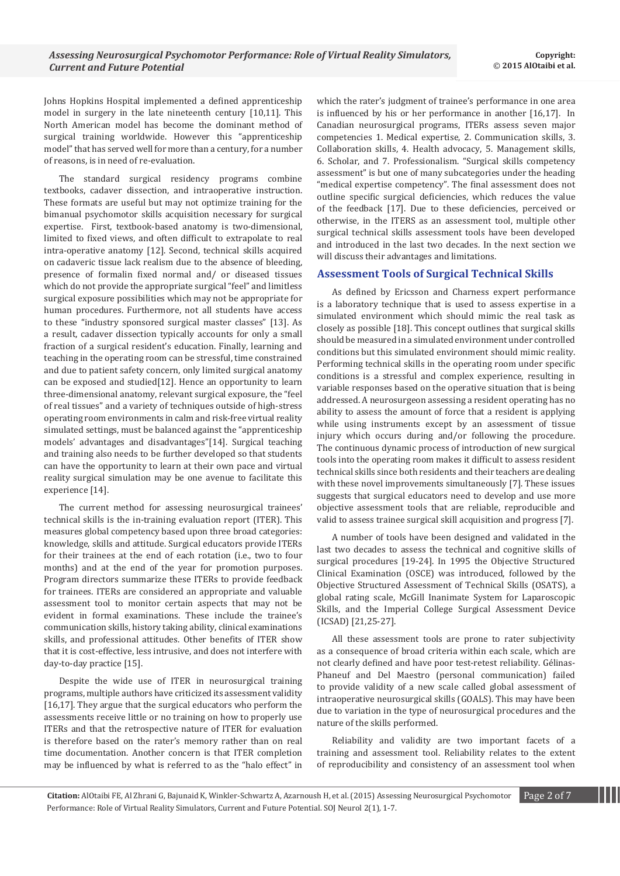Johns Hopkins Hospital implemented a defined apprenticeship model in surgery in the late nineteenth century [10,11]. This North American model has become the dominant method of surgical training worldwide. However this "apprenticeship model" that has served well for more than a century, for a number of reasons, is in need of re-evaluation.

The standard surgical residency programs combine textbooks, cadaver dissection, and intraoperative instruction. These formats are useful but may not optimize training for the bimanual psychomotor skills acquisition necessary for surgical expertise. First, textbook-based anatomy is two-dimensional, limited to fixed views, and often difficult to extrapolate to real intra-operative anatomy [12]. Second, technical skills acquired on cadaveric tissue lack realism due to the absence of bleeding, presence of formalin fixed normal and/ or diseased tissues which do not provide the appropriate surgical "feel" and limitless surgical exposure possibilities which may not be appropriate for human procedures. Furthermore, not all students have access to these "industry sponsored surgical master classes" [13]. As a result, cadaver dissection typically accounts for only a small fraction of a surgical resident's education. Finally, learning and teaching in the operating room can be stressful, time constrained and due to patient safety concern, only limited surgical anatomy can be exposed and studied[12]. Hence an opportunity to learn three-dimensional anatomy, relevant surgical exposure, the "feel of real tissues" and a variety of techniques outside of high-stress operating room environments in calm and risk-free virtual reality simulated settings, must be balanced against the "apprenticeship models' advantages and disadvantages"[14]. Surgical teaching and training also needs to be further developed so that students can have the opportunity to learn at their own pace and virtual reality surgical simulation may be one avenue to facilitate this experience [14].

The current method for assessing neurosurgical trainees' technical skills is the in-training evaluation report (ITER). This measures global competency based upon three broad categories: knowledge, skills and attitude. Surgical educators provide ITERs for their trainees at the end of each rotation (i.e., two to four months) and at the end of the year for promotion purposes. Program directors summarize these ITERs to provide feedback for trainees. ITERs are considered an appropriate and valuable assessment tool to monitor certain aspects that may not be evident in formal examinations. These include the trainee's communication skills, history taking ability, clinical examinations skills, and professional attitudes. Other benefits of ITER show that it is cost-effective, less intrusive, and does not interfere with day-to-day practice [15].

Despite the wide use of ITER in neurosurgical training programs, multiple authors have criticized its assessment validity [16,17]. They argue that the surgical educators who perform the assessments receive little or no training on how to properly use ITERs and that the retrospective nature of ITER for evaluation is therefore based on the rater's memory rather than on real time documentation. Another concern is that ITER completion may be influenced by what is referred to as the "halo effect" in which the rater's judgment of trainee's performance in one area is influenced by his or her performance in another [16,17]. In Canadian neurosurgical programs, ITERs assess seven major competencies 1. Medical expertise, 2. Communication skills, 3. Collaboration skills, 4. Health advocacy, 5. Management skills, 6. Scholar, and 7. Professionalism. "Surgical skills competency assessment" is but one of many subcategories under the heading "medical expertise competency". The final assessment does not outline specific surgical deficiencies, which reduces the value of the feedback [17]. Due to these deficiencies, perceived or otherwise, in the ITERS as an assessment tool, multiple other surgical technical skills assessment tools have been developed and introduced in the last two decades. In the next section we will discuss their advantages and limitations.

# **Assessment Tools of Surgical Technical Skills**

As defined by Ericsson and Charness expert performance is a laboratory technique that is used to assess expertise in a simulated environment which should mimic the real task as closely as possible [18]. This concept outlines that surgical skills should be measured in a simulated environment under controlled conditions but this simulated environment should mimic reality. Performing technical skills in the operating room under specific conditions is a stressful and complex experience, resulting in variable responses based on the operative situation that is being addressed. A neurosurgeon assessing a resident operating has no ability to assess the amount of force that a resident is applying while using instruments except by an assessment of tissue injury which occurs during and/or following the procedure. The continuous dynamic process of introduction of new surgical tools into the operating room makes it difficult to assess resident technical skills since both residents and their teachers are dealing with these novel improvements simultaneously [7]. These issues suggests that surgical educators need to develop and use more objective assessment tools that are reliable, reproducible and valid to assess trainee surgical skill acquisition and progress [7].

A number of tools have been designed and validated in the last two decades to assess the technical and cognitive skills of surgical procedures [19-24]. In 1995 the Objective Structured Clinical Examination (OSCE) was introduced, followed by the Objective Structured Assessment of Technical Skills (OSATS), a global rating scale, McGill Inanimate System for Laparoscopic Skills, and the Imperial College Surgical Assessment Device (ICSAD) [21,25-27].

All these assessment tools are prone to rater subjectivity as a consequence of broad criteria within each scale, which are not clearly defined and have poor test-retest reliability. Gélinas-Phaneuf and Del Maestro (personal communication) failed to provide validity of a new scale called global assessment of intraoperative neurosurgical skills (GOALS). This may have been due to variation in the type of neurosurgical procedures and the nature of the skills performed.

Reliability and validity are two important facets of a training and assessment tool. Reliability relates to the extent of reproducibility and consistency of an assessment tool when

**Citation:** AlOtaibi FE, Al Zhrani G, Bajunaid K, Winkler-Schwartz A, Azarnoush H, et al. (2015) Assessing Neurosurgical Psychomotor Page 2 of 7 Performance: Role of Virtual Reality Simulators, Current and Future Potential. SOJ Neurol 2(1)*,* 1-7.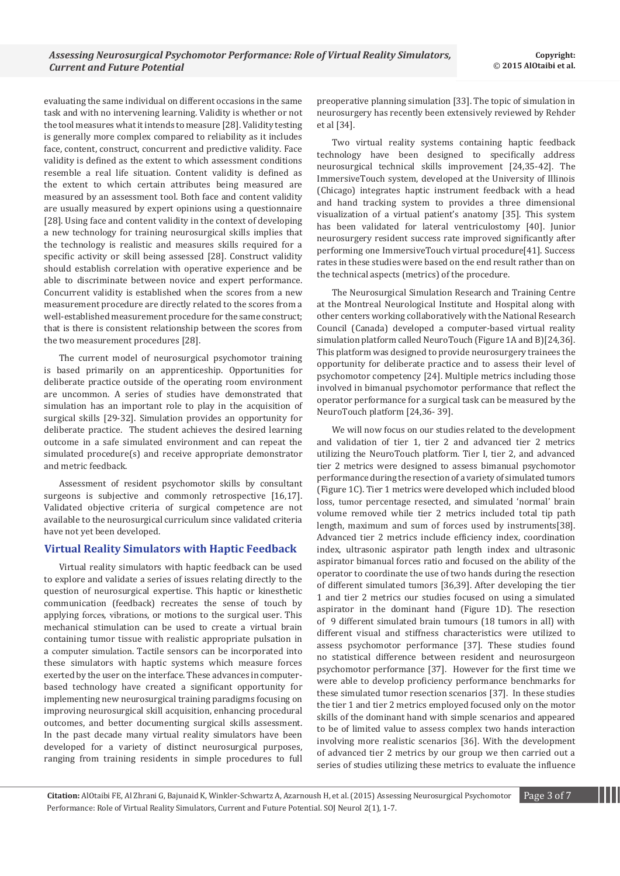evaluating the same individual on different occasions in the same task and with no intervening learning. Validity is whether or not the tool measures what it intends to measure [28]. Validity testing is generally more complex compared to reliability as it includes face, content, construct, concurrent and predictive validity. Face validity is defined as the extent to which assessment conditions resemble a real life situation. Content validity is defined as the extent to which certain attributes being measured are measured by an assessment tool. Both face and content validity are usually measured by expert opinions using a questionnaire [28]. Using face and content validity in the context of developing a new technology for training neurosurgical skills implies that the technology is realistic and measures skills required for a specific activity or skill being assessed [28]. Construct validity should establish correlation with operative experience and be able to discriminate between novice and expert performance. Concurrent validity is established when the scores from a new measurement procedure are directly related to the scores from a well-established measurement procedure for the same construct; that is there is consistent relationship between the scores from the two measurement procedures [28].

The current model of neurosurgical psychomotor training is based primarily on an apprenticeship. Opportunities for deliberate practice outside of the operating room environment are uncommon. A series of studies have demonstrated that simulation has an important role to play in the acquisition of surgical skills [29-32]. Simulation provides an opportunity for deliberate practice. The student achieves the desired learning outcome in a safe simulated environment and can repeat the simulated procedure(s) and receive appropriate demonstrator and metric feedback.

Assessment of resident psychomotor skills by consultant surgeons is subjective and commonly retrospective [16,17]. Validated objective criteria of surgical competence are not available to the neurosurgical curriculum since validated criteria have not yet been developed.

### **Virtual Reality Simulators with Haptic Feedback**

Virtual reality simulators with haptic feedback can be used to explore and validate a series of issues relating directly to the question of neurosurgical expertise. This haptic or kinesthetic communication (feedback) recreates the sense of touch by applying [forces](https://en.wikipedia.org/wiki/Force), [vibrations](https://en.wikipedia.org/wiki/Vibration), or motions to the surgical user. This mechanical stimulation can be used to create a virtual brain containing tumor tissue with realistic appropriate pulsation in a [computer simulation](https://en.wikipedia.org/wiki/Computer_simulation). Tactile sensors can be incorporated into these simulators with haptic systems which measure forces exerted by the user on the interface. These advances in computerbased technology have created a significant opportunity for implementing new neurosurgical training paradigms focusing on improving neurosurgical skill acquisition, enhancing procedural outcomes, and better documenting surgical skills assessment. In the past decade many virtual reality simulators have been developed for a variety of distinct neurosurgical purposes, ranging from training residents in simple procedures to full

preoperative planning simulation [33]. The topic of simulation in neurosurgery has recently been extensively reviewed by Rehder et al [34].

Two virtual reality systems containing haptic feedback technology have been designed to specifically address neurosurgical technical skills improvement [24,35-42]. The ImmersiveTouch system, developed at the University of Illinois (Chicago) integrates haptic instrument feedback with a head and hand tracking system to provides a three dimensional visualization of a virtual patient's anatomy [35]. This system has been validated for lateral ventriculostomy [40]. Junior neurosurgery resident success rate improved significantly after performing one ImmersiveTouch virtual procedure[41]. Success rates in these studies were based on the end result rather than on the technical aspects (metrics) of the procedure.

The Neurosurgical Simulation Research and Training Centre at the Montreal Neurological Institute and Hospital along with other centers working collaboratively with the National Research Council (Canada) developed a computer-based virtual reality simulation platform called NeuroTouch (Figure 1A and B)[24,36]. This platform was designed to provide neurosurgery trainees the opportunity for deliberate practice and to assess their level of psychomotor competency [24]. Multiple metrics including those involved in bimanual psychomotor performance that reflect the operator performance for a surgical task can be measured by the NeuroTouch platform [24,36- 39].

We will now focus on our studies related to the development and validation of tier 1, tier 2 and advanced tier 2 metrics utilizing the NeuroTouch platform. Tier I, tier 2, and advanced tier 2 metrics were designed to assess bimanual psychomotor performance during the resection of a variety of simulated tumors (Figure 1C). Tier 1 metrics were developed which included blood loss, [tumor](http://europepmc.org/abstract/med/25599201/?whatizit_url=http://europepmc.org/search/?page=1&query=%22tumor%22) percentage resected, and simulated 'normal' brain volume removed while tier 2 metrics included total tip path length, maximum and sum of forces used by instruments[38]. Advanced tier 2 metrics include efficiency index, coordination index, ultrasonic aspirator path length index and ultrasonic aspirator bimanual forces ratio and focused on the ability of the operator to coordinate the use of two hands during the resection of different simulated tumors [36,39]. After developing the tier 1 and tier 2 metrics our studies focused on using a simulated aspirator in the dominant hand (Figure 1D). The resection of 9 different simulated brain tumours (18 tumors in all) with different visual and stiffness characteristics were utilized to assess psychomotor performance [37]. These studies found no statistical difference between resident and neurosurgeon psychomotor performance [37]. However for the first time we were able to develop proficiency performance benchmarks for these simulated tumor resection scenarios [37]. In these studies the tier 1 and tier 2 metrics employed focused only on the motor skills of the dominant hand with simple scenarios and appeared to be of limited value to assess complex two hands interaction involving more realistic scenarios [36]. With the development of advanced tier 2 metrics by our group we then carried out a series of studies utilizing these metrics to evaluate the influence

**Citation:** AlOtaibi FE, Al Zhrani G, Bajunaid K, Winkler-Schwartz A, Azarnoush H, et al. (2015) Assessing Neurosurgical Psychomotor Page 3 of 7 Performance: Role of Virtual Reality Simulators, Current and Future Potential. SOJ Neurol 2(1)*,* 1-7.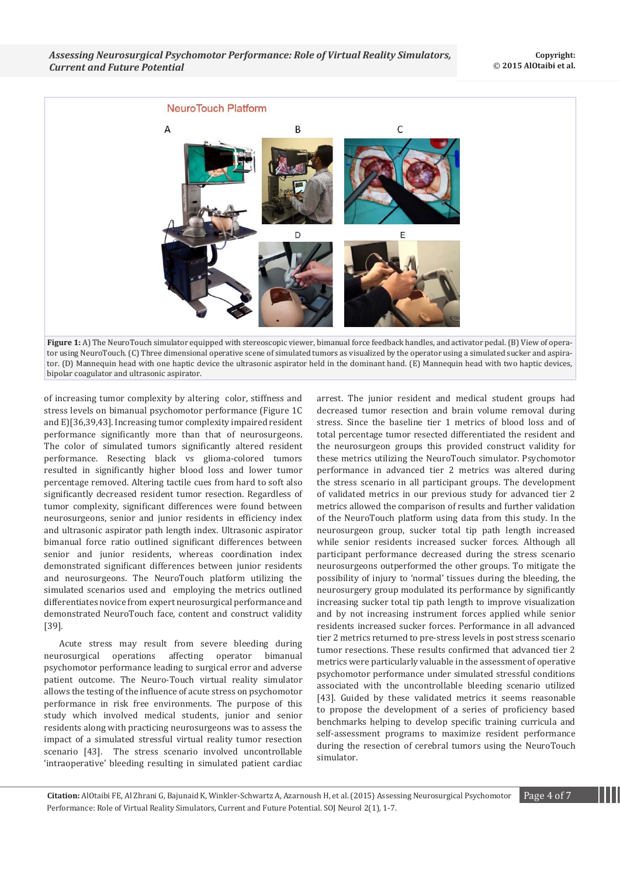

**Figure 1:** A) The NeuroTouch simulator equipped with stereoscopic viewer, bimanual force feedback handles, and activator pedal. (B) View of operator using NeuroTouch. (C) Three dimensional operative scene of simulated tumors as visualized by the operator using a simulated sucker and aspirator. (D) Mannequin head with one haptic device the ultrasonic aspirator held in the dominant hand. (E) Mannequin head with two haptic devices, bipolar coagulator and ultrasonic aspirator.

of increasing tumor complexity by altering color, stiffness and stress levels on bimanual psychomotor performance (Figure 1C and E)[36,39,43]. Increasing tumor complexity impaired resident performance significantly more than that of neurosurgeons. The color of simulated tumors significantly altered resident performance. Resecting black vs glioma-colored tumors resulted in significantly higher blood loss and lower tumor percentage removed. Altering tactile cues from hard to soft also significantly decreased resident tumor resection. Regardless of tumor complexity, significant differences were found between neurosurgeons, senior and junior residents in efficiency index and ultrasonic aspirator path length index. Ultrasonic aspirator bimanual force ratio outlined significant differences between senior and junior residents, whereas coordination index demonstrated significant differences between junior residents and neurosurgeons. The NeuroTouch platform utilizing the simulated scenarios used and employing the metrics outlined differentiates novice from expert neurosurgical performance and demonstrated NeuroTouch face, content and construct validity [39].

Acute stress may result from severe bleeding during neurosurgical operations affecting operator bimanual psychomotor performance leading to surgical error and adverse patient outcome. The Neuro-Touch virtual reality simulator allows the testing of the influence of acute stress on psychomotor performance in risk free environments. The purpose of this study which involved medical students, junior and senior residents along with practicing neurosurgeons was to assess the impact of a simulated stressful virtual reality tumor resection scenario [43]. The stress scenario involved uncontrollable 'intraoperative' bleeding resulting in simulated patient cardiac arrest. The junior resident and medical student groups had decreased tumor resection and brain volume removal during stress. Since the baseline tier 1 metrics of blood loss and of total percentage tumor resected differentiated the resident and the neurosurgeon groups this provided construct validity for these metrics utilizing the NeuroTouch simulator. Psychomotor performance in advanced tier 2 metrics was altered during the stress scenario in all participant groups. The development of validated metrics in our previous study for advanced tier 2 metrics allowed the comparison of results and further validation of the NeuroTouch platform using data from this study. In the neurosurgeon group, sucker total tip path length increased while senior residents increased sucker forces. Although all participant performance decreased during the stress scenario neurosurgeons outperformed the other groups. To mitigate the possibility of injury to 'normal' tissues during the bleeding, the neurosurgery group modulated its performance by significantly increasing sucker total tip path length to improve visualization and by not increasing instrument forces applied while senior residents increased sucker forces. Performance in all advanced tier 2 metrics returned to pre-stress levels in post stress scenario tumor resections. These results confirmed that advanced tier 2 metrics were particularly valuable in the assessment of operative psychomotor performance under simulated stressful conditions associated with the uncontrollable bleeding scenario utilized [43]. Guided by these validated metrics it seems reasonable to propose the development of a series of proficiency based benchmarks helping to develop specific training curricula and self-assessment programs to maximize resident performance during the resection of cerebral tumors using the NeuroTouch simulator.

**Citation:** AlOtaibi FE, Al Zhrani G, Bajunaid K, Winkler-Schwartz A, Azarnoush H, et al. (2015) Assessing Neurosurgical Psychomotor Page 4 of 7 Performance: Role of Virtual Reality Simulators, Current and Future Potential. SOJ Neurol 2(1)*,* 1-7.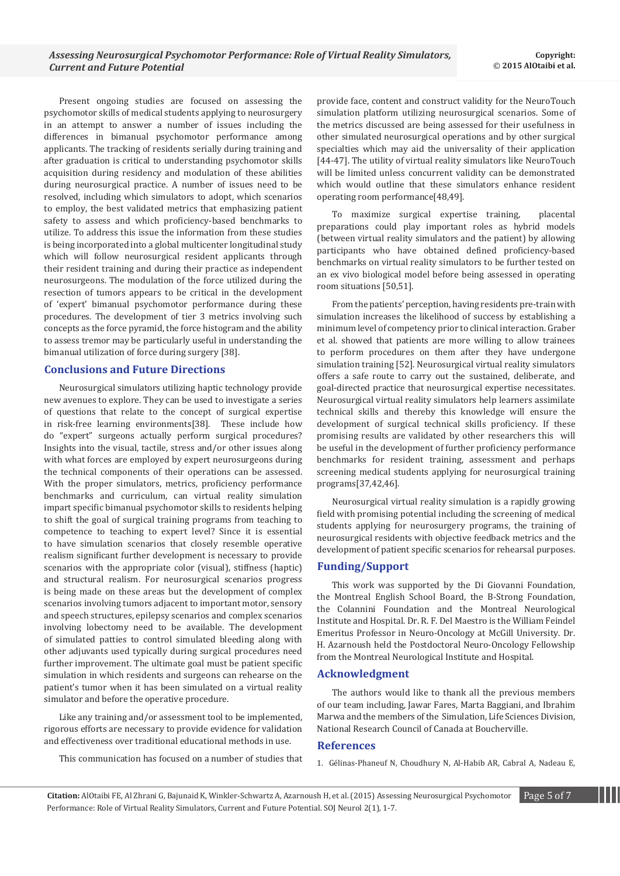Present ongoing studies are focused on assessing the psychomotor skills of medical students applying to neurosurgery in an attempt to answer a number of issues including the differences in bimanual psychomotor performance among applicants. The tracking of residents serially during training and after graduation is critical to understanding psychomotor skills acquisition during residency and modulation of these abilities during neurosurgical practice. A number of issues need to be resolved, including which simulators to adopt, which scenarios to employ, the best validated metrics that emphasizing patient safety to assess and which proficiency-based benchmarks to utilize. To address this issue the information from these studies is being incorporated into a global multicenter longitudinal study which will follow neurosurgical resident applicants through their resident training and during their practice as independent neurosurgeons. The modulation of the force utilized during the resection of tumors appears to be critical in the development of 'expert' bimanual psychomotor performance during these procedures. The development of tier 3 metrics involving such concepts as the force pyramid, the force histogram and the ability to assess tremor may be particularly useful in understanding the bimanual utilization of force during surgery [38].

# **Conclusions and Future Directions**

Neurosurgical simulators utilizing haptic technology provide new avenues to explore. They can be used to investigate a series of questions that relate to the concept of surgical expertise in risk-free learning environments[38]. These include how do "expert" surgeons actually perform surgical procedures? Insights into the visual, tactile, stress and/or other issues along with what forces are employed by expert neurosurgeons during the technical components of their operations can be assessed. With the proper simulators, metrics, proficiency performance benchmarks and curriculum, can virtual reality simulation impart specific bimanual psychomotor skills to residents helping to shift the goal of surgical training programs from teaching to competence to teaching to expert level? Since it is essential to have simulation scenarios that closely resemble operative realism significant further development is necessary to provide scenarios with the appropriate color (visual), stiffness (haptic) and structural realism. For neurosurgical scenarios progress is being made on these areas but the development of complex scenarios involving tumors adjacent to important motor, sensory and speech structures, epilepsy scenarios and complex scenarios involving lobectomy need to be available. The development of simulated patties to control simulated bleeding along with other adjuvants used typically during surgical procedures need further improvement. The ultimate goal must be patient specific simulation in which residents and surgeons can rehearse on the patient's tumor when it has been simulated on a virtual reality simulator and before the operative procedure.

Like any training and/or assessment tool to be implemented, rigorous efforts are necessary to provide evidence for validation and effectiveness over traditional educational methods in use.

This communication has focused on a number of studies that

provide face, content and construct validity for the NeuroTouch simulation platform utilizing neurosurgical scenarios. Some of the metrics discussed are being assessed for their usefulness in other simulated neurosurgical operations and by other surgical specialties which may aid the universality of their application [44-47]. The utility of virtual reality simulators like NeuroTouch will be limited unless concurrent validity can be demonstrated which would outline that these simulators enhance resident operating room performance[48,49].

To maximize surgical expertise training, placental preparations could play important roles as hybrid models (between virtual reality simulators and the patient) by allowing participants who have obtained defined proficiency-based benchmarks on virtual reality simulators to be further tested on an ex vivo biological model before being assessed in operating room situations [50,51].

From the patients' perception, having residents pre-train with simulation increases the likelihood of success by establishing a minimum level of competency prior to clinical interaction. Graber et al. showed that patients are more willing to allow trainees to perform procedures on them after they have undergone simulation training [52]. Neurosurgical virtual reality simulators offers a safe route to carry out the sustained, deliberate, and goal-directed practice that neurosurgical expertise necessitates. Neurosurgical virtual reality simulators help learners assimilate technical skills and thereby this knowledge will ensure the development of surgical technical skills proficiency. If these promising results are validated by other researchers this will be useful in the development of further proficiency performance benchmarks for resident training, assessment and perhaps screening medical students applying for neurosurgical training programs[37,42,46].

Neurosurgical virtual reality simulation is a rapidly growing field with promising potential including the screening of medical students applying for neurosurgery programs, the training of neurosurgical residents with objective feedback metrics and the development of patient specific scenarios for rehearsal purposes.

### **Funding/Support**

This work was supported by the Di Giovanni Foundation, the Montreal English School Board, the B-Strong Foundation, the Colannini Foundation and the Montreal Neurological Institute and Hospital. Dr. R. F. Del Maestro is the William Feindel Emeritus Professor in Neuro-Oncology at McGill University. Dr. H. Azarnoush held the Postdoctoral Neuro-Oncology Fellowship from the Montreal Neurological Institute and Hospital.

#### **Acknowledgment**

The authors would like to thank all the previous members of our team including, Jawar Fares, Marta Baggiani, and Ibrahim Marwa and the members of the Simulation, Life Sciences Division, National Research Council of Canada at Boucherville.

#### **References**

1. G[élinas-Phaneuf N, Choudhury N, Al-Habib AR, Cabral A, Nadeau E,](http://www.ncbi.nlm.nih.gov/pubmed/23784222) 

**Citation:** AlOtaibi FE, Al Zhrani G, Bajunaid K, Winkler-Schwartz A, Azarnoush H, et al. (2015) Assessing Neurosurgical Psychomotor Page 5 of 7 Performance: Role of Virtual Reality Simulators, Current and Future Potential. SOJ Neurol 2(1)*,* 1-7.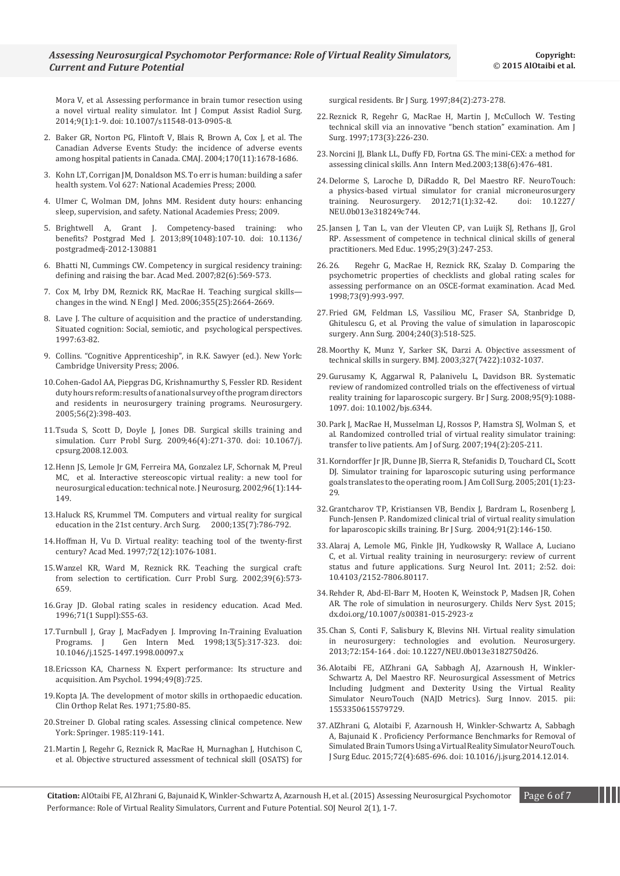[Mora V, et al. Assessing performance in brain tumor resection using](http://www.ncbi.nlm.nih.gov/pubmed/23784222)  [a novel virtual reality simulator. Int J Comput Assist Radiol Surg.](http://www.ncbi.nlm.nih.gov/pubmed/23784222)  [2014;9\(1\):1-9. doi: 10.1007/s11548-013-0905-8.](http://www.ncbi.nlm.nih.gov/pubmed/23784222)

- 2. B[aker GR, Norton PG, Flintoft V, Blais R, Brown A, Cox J, et al. The](http://www.ncbi.nlm.nih.gov/pubmed/15159366)  [Canadian Adverse Events Study: the incidence of adverse events](http://www.ncbi.nlm.nih.gov/pubmed/15159366)  [among hospital patients in Canada. CMAJ. 2004;170\(11\):1678-1686.](http://www.ncbi.nlm.nih.gov/pubmed/15159366)
- 3. K[ohn LT, Corrigan JM, Donaldson MS. To err is human: building a safer](https://books.google.co.in/books?id=8r1QAQAAIAAJ&q)  [health system. Vol 627: National Academies Press; 2000.](https://books.google.co.in/books?id=8r1QAQAAIAAJ&q)
- 4. Ulmer C, Wolman DM, Johns MM. Resident duty hours: enhancing sleep, supervision, and safety. National Academies Press; 2009.
- 5. B[rightwell A, Grant J. Competency-based training: who](http://www.ncbi.nlm.nih.gov/pubmed/23019588)  [benefits? Postgrad Med J. 2013;89\(1048\):107-10. doi: 10.1136/](http://www.ncbi.nlm.nih.gov/pubmed/23019588) [postgradmedj-2012-130881](http://www.ncbi.nlm.nih.gov/pubmed/23019588)
- 6. B[hatti NI, Cummings CW. Competency in surgical residency training:](http://www.ncbi.nlm.nih.gov/pubmed/17525542)  [defining and raising the bar. Acad Med. 2007;82\(6\):569-573.](http://www.ncbi.nlm.nih.gov/pubmed/17525542)
- 7. [Cox M, Irby DM, Reznick RK, MacRae H. Teaching surgical skills](http://www.ncbi.nlm.nih.gov/pubmed/17182991) [changes in the wind. N Engl J Med. 2006;355\(25\):2664-2669.](http://www.ncbi.nlm.nih.gov/pubmed/17182991)
- 8. Lave J. The culture of acquisition and the practice of understanding. Situated cognition: Social, semiotic, and psychological perspectives. 1997:63-82.
- 9. Collins. "Cognitive Apprenticeship", in R.K. Sawyer (ed.). New York: Cambridge University Press; 2006.
- 10.[Cohen-Gadol AA, Piepgras DG, Krishnamurthy S, Fessler RD. Resident](http://www.ncbi.nlm.nih.gov/pubmed/15670388)  [duty hours reform: results of a national survey of the program directors](http://www.ncbi.nlm.nih.gov/pubmed/15670388)  [and residents in neurosurgery training programs. Neurosurgery.](http://www.ncbi.nlm.nih.gov/pubmed/15670388)  [2005;56\(2\):398-403.](http://www.ncbi.nlm.nih.gov/pubmed/15670388)
- 11.T[suda S, Scott D, Doyle J, Jones DB. Surgical skills training and](http://www.ncbi.nlm.nih.gov/pubmed/19249439)  [simulation. Curr Probl Surg. 2009;46\(4\):271-370. doi: 10.1067/j.](http://www.ncbi.nlm.nih.gov/pubmed/19249439) [cpsurg.2008.12.003.](http://www.ncbi.nlm.nih.gov/pubmed/19249439)
- 12.[Henn JS, Lemole Jr GM, Ferreira MA, Gonzalez LF, Schornak M, Preul](http://www.ncbi.nlm.nih.gov/pubmed/11795253)  MC, [et al. Interactive stereoscopic virtual reality: a new tool for](http://www.ncbi.nlm.nih.gov/pubmed/11795253)  [neurosurgical education: technical note. J Neurosurg. 2002;96\(1\):144-](http://www.ncbi.nlm.nih.gov/pubmed/11795253) [149.](http://www.ncbi.nlm.nih.gov/pubmed/11795253)
- 13. [Haluck RS, Krummel TM. Computers and virtual reality for surgical](http://www.ncbi.nlm.nih.gov/pubmed/10896371) education in the 21st century. Arch Surg. 2000;135(7):786-792. education in the 21st century. Arch Surg.
- 14.H[offman H, Vu D. Virtual reality: teaching tool of the twenty-first](http://www.ncbi.nlm.nih.gov/pubmed/9435714)  [century? Acad Med. 1997;72\(12\):1076-1081.](http://www.ncbi.nlm.nih.gov/pubmed/9435714)
- 15.[Wanzel KR, Ward M, Reznick RK. Teaching the surgical craft:](http://www.ncbi.nlm.nih.gov/pubmed/12037512)  [from selection to certification. Curr Probl Surg. 2002;39\(6\):573-](http://www.ncbi.nlm.nih.gov/pubmed/12037512) [659.](http://www.ncbi.nlm.nih.gov/pubmed/12037512)
- 16.G[ray JD. Global rating scales in residency education. Acad Med.](http://www.ncbi.nlm.nih.gov/pubmed/8546784)  [1996;71\(1 Suppl\):S55-63.](http://www.ncbi.nlm.nih.gov/pubmed/8546784)
- 17. Turnbull J, Gray J, MacFadyen J. Improving In-Training Evaluation<br>Programs. J Gen Intern Med. 1998;13(5):317-323. doi: Gen Intern Med. 1998;13(5):317-323. doi: [10.1046/j.1525-1497.1998.00097.x](http://www.ncbi.nlm.nih.gov/pmc/articles/PMC1496958/)
- 18.Ericsson KA, Charness N. Expert performance: Its structure and acquisition. Am Psychol. 1994;49(8):725.
- 19.K[opta JA. The development of motor skills in orthopaedic education.](http://www.ncbi.nlm.nih.gov/pubmed/4929010)  [Clin Orthop Relat Res. 1971;75:80-85.](http://www.ncbi.nlm.nih.gov/pubmed/4929010)
- 20.Streiner D. Global rating scales. Assessing clinical competence. New York: Springer. 1985:119-141.
- 21.[Martin J, Regehr G, Reznick R, MacRae H, Murnaghan J, Hutchison C,](http://www.ncbi.nlm.nih.gov/pubmed/9052454)  [et al. Objective structured assessment of technical skill \(OSATS\) for](http://www.ncbi.nlm.nih.gov/pubmed/9052454)

[surgical residents. Br J Surg. 1997;84\(2\):273-278.](http://www.ncbi.nlm.nih.gov/pubmed/9052454)

- 22.[Reznick R, Regehr G, MacRae H, Martin J, McCulloch W. Testing](http://www.ncbi.nlm.nih.gov/pubmed/9124632)  [technical skill via an innovative "bench station" examination. Am J](http://www.ncbi.nlm.nih.gov/pubmed/9124632)  [Surg. 1997;173\(3\):226-230.](http://www.ncbi.nlm.nih.gov/pubmed/9124632)
- 23.N[orcini JJ, Blank LL, Duffy FD, Fortna GS. The mini-CEX: a method for](http://www.ncbi.nlm.nih.gov/pubmed/12639081)  [assessing clinical skills. Ann Intern Med.2003;138\(6\):476-481.](http://www.ncbi.nlm.nih.gov/pubmed/12639081)
- 24.Delorme S, Laroche D, DiRaddo R, Del Maestro RF. NeuroTouch: a physics-based virtual simulator for cranial microneurosurgery<br>training. Neurosurgery. 2012;71(1):32-42. doi: 10.1227/ training. Neurosurgery.  $2012;71(1):32-42$ . NEU.0b013e318249c744.
- 25.J[ansen J, Tan L, van der Vleuten CP, van Luijk SJ, Rethans JJ, Grol](http://www.ncbi.nlm.nih.gov/pubmed/7623721)  [RP. Assessment of competence in technical clinical skills of general](http://www.ncbi.nlm.nih.gov/pubmed/7623721)  [practitioners. Med Educ. 1995;29\(3\):247-253.](http://www.ncbi.nlm.nih.gov/pubmed/7623721)
- 26.26. [Regehr G, MacRae H, Reznick RK, Szalay D. Comparing the](http://www.ncbi.nlm.nih.gov/pubmed/9759104)  [psychometric properties of checklists and global rating scales for](http://www.ncbi.nlm.nih.gov/pubmed/9759104)  [assessing performance on an OSCE-format examination. Acad Med.](http://www.ncbi.nlm.nih.gov/pubmed/9759104)  [1998;73\(9\):993-997.](http://www.ncbi.nlm.nih.gov/pubmed/9759104)
- 27.[Fried GM, Feldman LS, Vassiliou MC, Fraser SA, Stanbridge D,](http://www.ncbi.nlm.nih.gov/pubmed/15319723)  [Ghitulescu G, et al. Proving the value of simulation in laparoscopic](http://www.ncbi.nlm.nih.gov/pubmed/15319723)  [surgery. Ann Surg. 2004;240\(3\):518-525.](http://www.ncbi.nlm.nih.gov/pubmed/15319723)
- 28.M[oorthy K, Munz Y, Sarker SK, Darzi A. Objective assessment of](http://www.ncbi.nlm.nih.gov/pubmed/14593041)  [technical skills in surgery. BMJ. 2003;327\(7422\):1032-1037.](http://www.ncbi.nlm.nih.gov/pubmed/14593041)
- 29.G[urusamy K, Aggarwal R, Palanivelu L, Davidson BR. Systematic](http://www.ncbi.nlm.nih.gov/pubmed/18690637)  [review of randomized controlled trials on the effectiveness of virtual](http://www.ncbi.nlm.nih.gov/pubmed/18690637)  [reality training for laparoscopic surgery. Br J Surg. 2008;95\(9\):1088-](http://www.ncbi.nlm.nih.gov/pubmed/18690637) [1097. doi: 10.1002/bjs.6344.](http://www.ncbi.nlm.nih.gov/pubmed/18690637)
- 30.P[ark J, MacRae H, Musselman LJ, Rossos P, Hamstra SJ, Wolman S, et](http://www.ncbi.nlm.nih.gov/pubmed/17618805)  [al. Randomized controlled trial of virtual reality simulator training:](http://www.ncbi.nlm.nih.gov/pubmed/17618805)  [transfer to live patients. Am J of Surg. 2007;194\(2\):205-211.](http://www.ncbi.nlm.nih.gov/pubmed/17618805)
- 31.[Korndorffer Jr JR, Dunne JB, Sierra R, Stefanidis D, Touchard CL, Scott](http://www.ncbi.nlm.nih.gov/pubmed/15978440)  [DJ. Simulator training for laparoscopic suturing using performance](http://www.ncbi.nlm.nih.gov/pubmed/15978440)  [goals translates to the operating room. J Am Coll Surg. 2005;201\(1\):23-](http://www.ncbi.nlm.nih.gov/pubmed/15978440) [29.](http://www.ncbi.nlm.nih.gov/pubmed/15978440)
- 32.G[rantcharov TP, Kristiansen VB, Bendix J, Bardram L, Rosenberg J,](http://www.ncbi.nlm.nih.gov/pubmed/14760660)  [Funch-Jensen P. Randomized clinical trial of virtual reality simulation](http://www.ncbi.nlm.nih.gov/pubmed/14760660)  [for laparoscopic skills training. Br J Surg. 2004;91\(2\):146-150.](http://www.ncbi.nlm.nih.gov/pubmed/14760660)
- 33.[Alaraj A, Lemole MG, Finkle JH, Yudkowsky R, Wallace A, Luciano](http://www.ncbi.nlm.nih.gov/pubmed/21697968)  [C, et al. Virtual reality training in neurosurgery: review of current](http://www.ncbi.nlm.nih.gov/pubmed/21697968)  [status and future applications. Surg Neurol Int. 2011; 2:52. doi:](http://www.ncbi.nlm.nih.gov/pubmed/21697968)  [10.4103/2152-7806.80117.](http://www.ncbi.nlm.nih.gov/pubmed/21697968)
- 34.[Rehder R, Abd-El-Barr M, Hooten K, Weinstock P, Madsen JR, Cohen](http://www.ncbi.nlm.nih.gov/pubmed/26438547)  [AR. The role of simulation in neurosurgery. Childs Nerv Syst. 2015;](http://www.ncbi.nlm.nih.gov/pubmed/26438547)  [dx.doi.org/10.1007/s00381-015-2923-z](http://www.ncbi.nlm.nih.gov/pubmed/26438547)
- 35.C[han S, Conti F, Salisbury K, Blevins NH. Virtual reality simulation](http://www.ncbi.nlm.nih.gov/pubmed/23254804)  [in neurosurgery: technologies and evolution. Neurosurgery.](http://www.ncbi.nlm.nih.gov/pubmed/23254804)  [2013;72:154-164 . doi: 10.1227/NEU.0b013e3182750d26.](http://www.ncbi.nlm.nih.gov/pubmed/23254804)
- 36.[Alotaibi FE, AlZhrani GA, Sabbagh AJ, Azarnoush H, Winkler-](http://www.ncbi.nlm.nih.gov/pubmed/25851146)[Schwartz A, Del Maestro RF. Neurosurgical Assessment of Metrics](http://www.ncbi.nlm.nih.gov/pubmed/25851146)  [Including Judgment and Dexterity Using the Virtual Reality](http://www.ncbi.nlm.nih.gov/pubmed/25851146)  [Simulator NeuroTouch \(NAJD Metrics\). Surg Innov. 2015. pii:](http://www.ncbi.nlm.nih.gov/pubmed/25851146)  [1553350615579729.](http://www.ncbi.nlm.nih.gov/pubmed/25851146)
- 37.[AlZhrani G, Alotaibi F, Azarnoush H, Winkler-Schwartz A, Sabbagh](http://www.ncbi.nlm.nih.gov/pubmed/25687956)  [A, Bajunaid K . Proficiency Performance Benchmarks for Removal of](http://www.ncbi.nlm.nih.gov/pubmed/25687956)  [Simulated Brain Tumors Using a Virtual Reality Simulator NeuroTouch.](http://www.ncbi.nlm.nih.gov/pubmed/25687956)  [J Surg Educ. 2015;72\(4\):685-696. doi: 10.1016/j.jsurg.2014.12.014.](http://www.ncbi.nlm.nih.gov/pubmed/25687956)

**Citation:** AlOtaibi FE, Al Zhrani G, Bajunaid K, Winkler-Schwartz A, Azarnoush H, et al. (2015) Assessing Neurosurgical Psychomotor Page 6 of 7 Performance: Role of Virtual Reality Simulators, Current and Future Potential. SOJ Neurol 2(1)*,* 1-7.